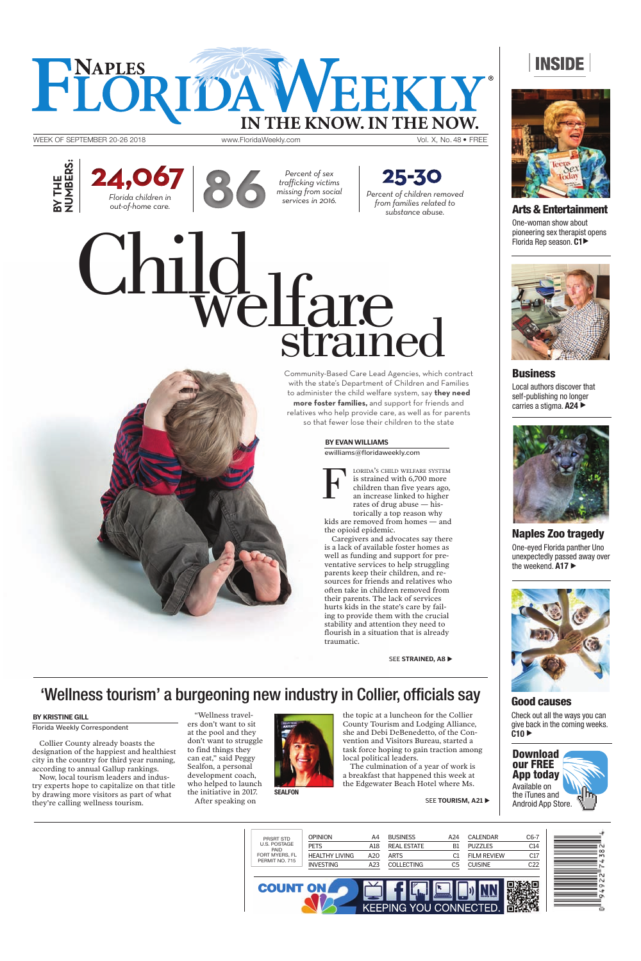OPINION A4 BUSINESS A24 CALENDAR C6-7 PRSRT STD U.S. POSTAGE PAID FORT MYERS, FL PETS A18 REAL ESTATE B1 PUZZLES C14 HEALTHY LIVING A20 FILM REVIEW C17 ARTS C1 PERMIT NO. 715 INVESTING A23 COLLECTING C5 CUISINE C22 ١O **COUNT ON** KEEPING **YOU CONNECT** ED

**Business** Local authors discover that self-publishing no longer carries a stigma. **A24** ▶





**Naples Zoo tragedy** One-eyed Florida panther Uno unexpectedly passed away over the weekend. A17



### **BY EVAN WILLIAMS**

ewilliams@floridaweekly.com

# **Good causes**

Check out all the ways you can give back in the coming weeks.

WEEK OF SEPTEMBER 20-26 2018 www.FloridaWeekly.com

FLORIDA WEEKL

# **INSIDE**



**Arts & Entertainment**

One-woman show about pioneering sex therapist opens Florida Rep season. **C1**X



Collier County already boasts the designation of the happiest and healthiest city in the country for third year running, according to annual Gallup rankings.

Now, local tourism leaders and industry experts hope to capitalize on that title by drawing more visitors as part of what they're calling wellness tourism.

"Wellness travelers don't want to sit



at the pool and they don't want to struggle to find things they can eat," said Peggy Sealfon, a personal development coach, who helped to launch the initiative in 2017.

After speaking on

SEE **TOURISM, A21** 

 $C10$ 

BY THE<br>NUMBERS: **NUMBERS:** 

25-30 **Percent of children removed** *from families related to substance abuse.*

THE KNOW. IN THE NOW.

the topic at a luncheon for the Collier County Tourism and Lodging Alliance, she and Debi DeBenedetto, of the Convention and Visitors Bureau, started a task force hoping to gain traction among local political leaders. The culmination of a year of work is a breakfast that happened this week at the Edgewater Beach Hotel where Ms.

# 'Wellness tourism' a burgeoning new industry in Collier, officials say

F LORIDA'S CHILD WELFARE SYSTEM is strained with 6,700 more children than five years ago, an increase linked to higher rates of drug abuse — historically a top reason why kids are removed from homes — and the opioid epidemic.

Caregivers and advocates say there is a lack of available foster homes as well as funding and support for preventative services to help struggling parents keep their children, and resources for friends and relatives who often take in children removed from their parents. The lack of services hurts kids in the state's care by failing to provide them with the crucial stability and attention they need to flourish in a situation that is already traumatic.

SEE STRAINED, A8

Community-Based Care Lead Agencies, which contract with the state's Department of Children and Families to administer the child welfare system, say **they need more foster families,** and support for friends and relatives who help provide care, as well as for parents so that fewer lose their children to the state

*Percent of sex trafficking victims missing from social* 



**BY KRISTINE GILL**

Florida Weekly Correspondent

**SEALFON**

Vol. X, No. 48 • FREE

# Welfare<br>strained